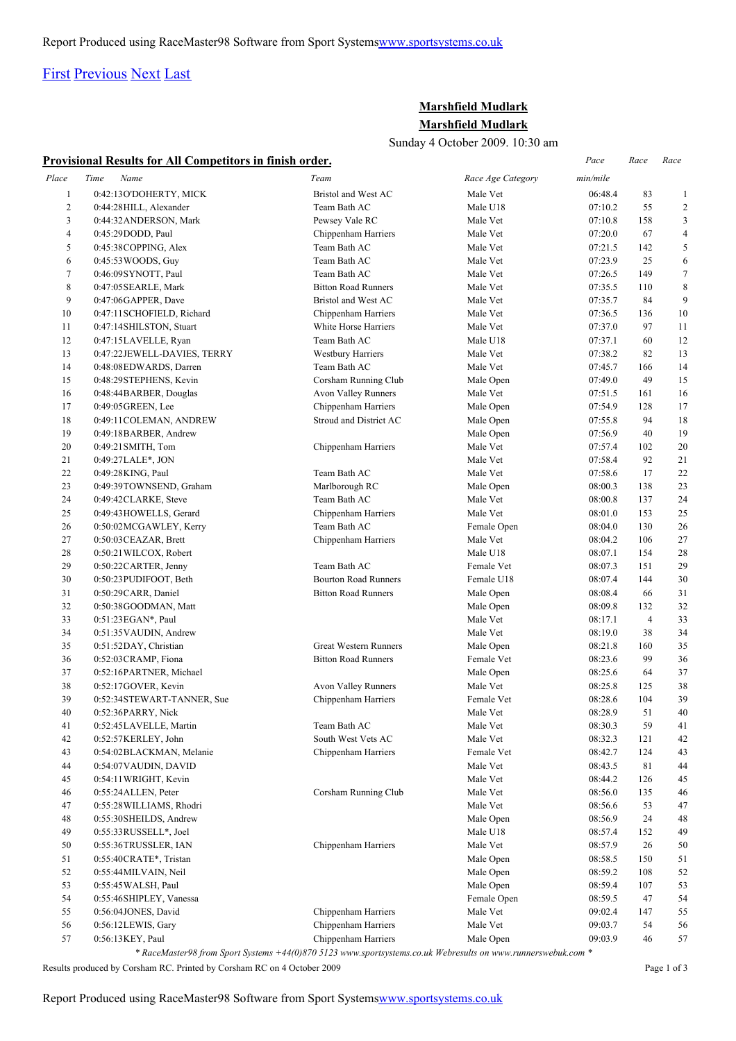## [First](http://www.corshamrunningclub.co.uk/Mudlark/Results/2009/Marshfield Mudlark.html#) [Previous](http://www.corshamrunningclub.co.uk/Mudlark/Results/2009/Marshfield Mudlark.html#) [Next](http://www.corshamrunningclub.co.uk/Mudlark/Results/2009/Marshfield MudlarkPage2.html) [Last](http://www.corshamrunningclub.co.uk/Mudlark/Results/2009/Marshfield MudlarkPage3.html)

## **Marshfield Mudlark Marshfield Mudlark**

Sunday 4 October 2009. 10:30 am

|                | Provisional Results for All Competitors in finish order. |                              |                   |          |                |                |
|----------------|----------------------------------------------------------|------------------------------|-------------------|----------|----------------|----------------|
| Place          | Time<br>Name                                             | Team                         | Race Age Category | min/mile |                |                |
| $\mathbf{1}$   | 0:42:13O'DOHERTY, MICK                                   | Bristol and West AC          | Male Vet          | 06:48.4  | 83             | $\mathbf{1}$   |
| $\overline{c}$ | 0:44:28 HILL, Alexander                                  | Team Bath AC                 | Male U18          | 07:10.2  | 55             | $\overline{c}$ |
| 3              | 0:44:32 ANDERSON, Mark                                   | Pewsey Vale RC               | Male Vet          | 07:10.8  | 158            | 3              |
| $\overline{4}$ | 0:45:29DODD, Paul                                        | Chippenham Harriers          | Male Vet          | 07:20.0  | 67             | $\overline{4}$ |
| 5              | 0:45:38COPPING, Alex                                     | Team Bath AC                 | Male Vet          | 07:21.5  | 142            | 5              |
| 6              | 0:45:53 WOODS, Guy                                       | Team Bath AC                 | Male Vet          | 07:23.9  | 25             | 6              |
| 7              | 0:46:09SYNOTT, Paul                                      | Team Bath AC                 | Male Vet          | 07:26.5  | 149            | $\tau$         |
| 8              | 0:47:05 SEARLE, Mark                                     | <b>Bitton Road Runners</b>   | Male Vet          | 07:35.5  | 110            | $\,$ 8 $\,$    |
| 9              | 0:47:06GAPPER, Dave                                      | Bristol and West AC          | Male Vet          | 07:35.7  | 84             | 9              |
| 10             | 0:47:11 SCHOFIELD, Richard                               | Chippenham Harriers          | Male Vet          | 07:36.5  | 136            | 10             |
| 11             | 0:47:14SHILSTON, Stuart                                  | White Horse Harriers         | Male Vet          | 07:37.0  | 97             | 11             |
| 12             | 0:47:15LAVELLE, Ryan                                     | Team Bath AC                 | Male U18          | 07:37.1  | 60             | 12             |
| 13             | 0:47:22JEWELL-DAVIES, TERRY                              | <b>Westbury Harriers</b>     | Male Vet          | 07:38.2  | 82             | 13             |
| 14             | 0:48:08EDWARDS, Darren                                   | Team Bath AC                 | Male Vet          | 07:45.7  | 166            | 14             |
| 15             | 0:48:29STEPHENS, Kevin                                   | Corsham Running Club         | Male Open         | 07:49.0  | 49             | 15             |
| 16             | 0:48:44BARBER, Douglas                                   | Avon Valley Runners          | Male Vet          | 07:51.5  | 161            | 16             |
| 17             | 0:49:05 GREEN, Lee                                       | Chippenham Harriers          | Male Open         | 07:54.9  | 128            | 17             |
| 18             | 0:49:11 COLEMAN, ANDREW                                  | Stroud and District AC       | Male Open         | 07:55.8  | 94             | 18             |
| 19             | 0:49:18BARBER, Andrew                                    |                              | Male Open         | 07:56.9  | 40             | 19             |
| 20             | 0:49:21 SMITH, Tom                                       | Chippenham Harriers          | Male Vet          | 07:57.4  | 102            | 20             |
| 21             | 0:49:27LALE*, JON                                        |                              | Male Vet          | 07:58.4  | 92             | 21             |
| 22             | 0:49:28KING, Paul                                        | Team Bath AC                 | Male Vet          | 07:58.6  | 17             | 22             |
| 23             | 0:49:39TOWNSEND, Graham                                  | Marlborough RC               | Male Open         | 08:00.3  | 138            | 23             |
| 24             | 0:49:42CLARKE, Steve                                     | Team Bath AC                 | Male Vet          | 08:00.8  | 137            | 24             |
| 25             | 0:49:43 HOWELLS, Gerard                                  | Chippenham Harriers          | Male Vet          | 08:01.0  | 153            | 25             |
| 26             | 0:50:02MCGAWLEY, Kerry                                   | Team Bath AC                 | Female Open       | 08:04.0  | 130            | 26             |
| 27             | 0:50:03 CEAZAR, Brett                                    | Chippenham Harriers          | Male Vet          | 08:04.2  | 106            | 27             |
| 28             | 0:50:21 WILCOX, Robert                                   |                              | Male U18          | 08:07.1  | 154            | 28             |
| 29             | 0:50:22CARTER, Jenny                                     | Team Bath AC                 | Female Vet        | 08:07.3  | 151            | 29             |
| 30             | 0:50:23PUDIFOOT, Beth                                    | <b>Bourton Road Runners</b>  | Female U18        | 08:07.4  | 144            | 30             |
| 31             | 0:50:29CARR, Daniel                                      | <b>Bitton Road Runners</b>   | Male Open         | 08:08.4  | 66             | 31             |
| 32             | 0:50:38GOODMAN, Matt                                     |                              | Male Open         | 08:09.8  | 132            | 32             |
| 33             | 0:51:23EGAN*, Paul                                       |                              | Male Vet          | 08:17.1  | $\overline{4}$ | 33             |
| 34             | 0:51:35 VAUDIN, Andrew                                   |                              | Male Vet          | 08:19.0  | 38             | 34             |
| 35             | 0:51:52DAY, Christian                                    | <b>Great Western Runners</b> | Male Open         | 08:21.8  | 160            | 35             |
| 36             | 0:52:03 CRAMP, Fiona                                     | <b>Bitton Road Runners</b>   | Female Vet        | 08:23.6  | 99             | 36             |
| 37             | 0:52:16PARTNER, Michael                                  |                              | Male Open         | 08:25.6  | 64             | 37             |
| 38             | 0:52:17GOVER, Kevin                                      | Avon Valley Runners          | Male Vet          | 08:25.8  | 125            | 38             |
| 39             | 0:52:34STEWART-TANNER, Sue                               | Chippenham Harriers          | Female Vet        | 08:28.6  | 104            | 39             |
| 40             | 0:52:36PARRY, Nick                                       |                              | Male Vet          | 08:28.9  | 51             | 40             |
| 41             | 0:52:45LAVELLE, Martin                                   | Team Bath AC                 | Male Vet          | 08:30.3  | 59             | 41             |
| 42             | 0:52:57KERLEY, John                                      | South West Vets AC           | Male Vet          | 08:32.3  | 121            | 42             |
| 43             | 0:54:02BLACKMAN, Melanie                                 | Chippenham Harriers          | Female Vet        | 08:42.7  | 124            | 43             |
| 44             | 0:54:07 VAUDIN, DAVID                                    |                              | Male Vet          | 08:43.5  | 81             | 44             |
| 45             | 0:54:11 WRIGHT, Kevin                                    |                              | Male Vet          | 08:44.2  | 126            | 45             |
| 46             | 0:55:24 ALLEN, Peter                                     | Corsham Running Club         | Male Vet          | 08:56.0  | 135            | 46             |
| 47             | 0:55:28 WILLIAMS, Rhodri                                 |                              | Male Vet          | 08:56.6  | 53             | 47             |
| 48             | 0:55:30SHEILDS, Andrew                                   |                              | Male Open         | 08:56.9  | 24             | 48             |
| 49             | 0:55:33RUSSELL*, Joel                                    |                              | Male U18          | 08:57.4  | 152            | 49             |
| 50             | 0:55:36TRUSSLER, IAN                                     | Chippenham Harriers          | Male Vet          | 08:57.9  | 26             | 50             |
| 51             | 0:55:40CRATE*, Tristan                                   |                              | Male Open         | 08:58.5  | 150            | 51             |
| 52             | 0:55:44MILVAIN, Neil                                     |                              | Male Open         | 08:59.2  | 108            | 52             |
| 53             | 0:55:45 WALSH, Paul                                      |                              | Male Open         | 08:59.4  | 107            | 53             |
| 54             | 0:55:46SHIPLEY, Vanessa                                  |                              | Female Open       | 08:59.5  | 47             | 54             |
| 55             | 0:56:04JONES, David                                      | Chippenham Harriers          | Male Vet          | 09:02.4  | 147            | 55             |
| 56             | 0:56:12LEWIS, Gary                                       | Chippenham Harriers          | Male Vet          | 09:03.7  | 54             | 56             |
| 57             | 0:56:13KEY, Paul                                         | Chippenham Harriers          | Male Open         | 09:03.9  | 46             | 57             |

*\* RaceMaster98 from Sport Systems +44(0)870 5123 www.sportsystems.co.uk Webresults on www.runnerswebuk.com \**

Results produced by Corsham RC. Printed by Corsham RC on 4 October 2009 Page 1 of 3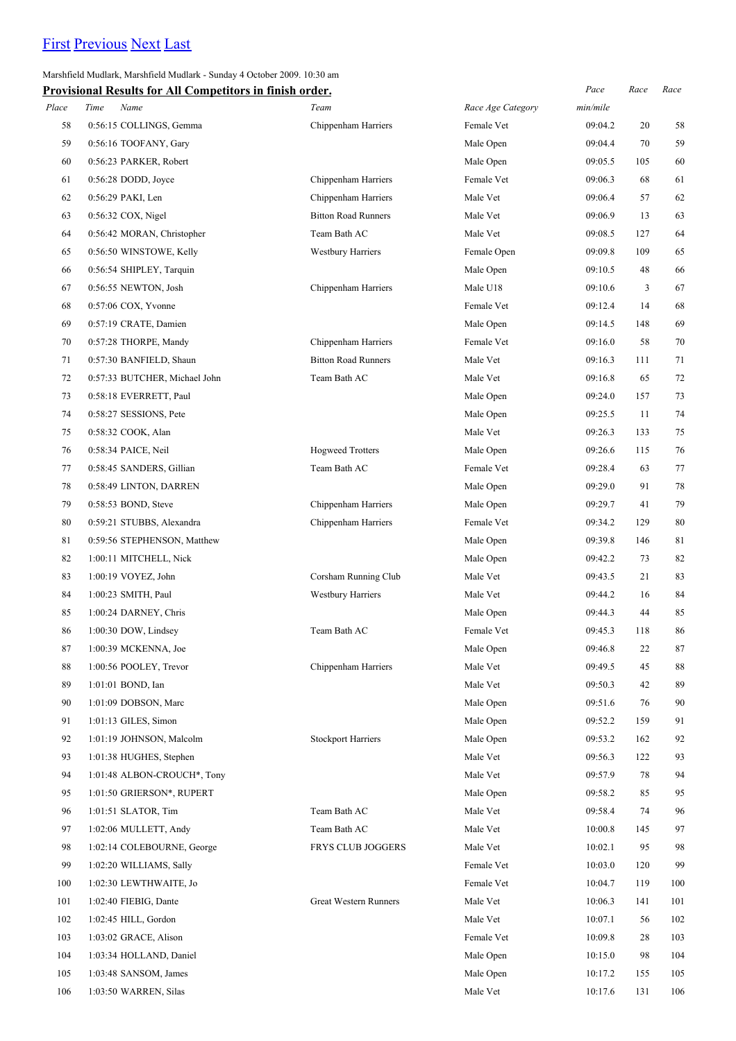# [First](http://www.corshamrunningclub.co.uk/Mudlark/Results/2009/Marshfield Mudlark.html) [Previous](http://www.corshamrunningclub.co.uk/Mudlark/Results/2009/Marshfield Mudlark.html) [Next](http://www.corshamrunningclub.co.uk/Mudlark/Results/2009/Marshfield MudlarkPage3.html) [Last](http://www.corshamrunningclub.co.uk/Mudlark/Results/2009/Marshfield MudlarkPage3.html)

### Marshfield Mudlark, Marshfield Mudlark - Sunday 4 October 2009. 10:30 am

|       | <b>Provisional Results for All Competitors in finish order.</b> |                            |                   | Pace     | Race | Race |
|-------|-----------------------------------------------------------------|----------------------------|-------------------|----------|------|------|
| Place | Name<br>Time                                                    | Team                       | Race Age Category | min/mile |      |      |
| 58    | 0:56:15 COLLINGS, Gemma                                         | Chippenham Harriers        | Female Vet        | 09:04.2  | 20   | 58   |
| 59    | 0:56:16 TOOFANY, Gary                                           |                            | Male Open         | 09:04.4  | 70   | 59   |
| 60    | 0:56:23 PARKER, Robert                                          |                            | Male Open         | 09:05.5  | 105  | 60   |
| 61    | $0:56:28$ DODD, Joyce                                           | Chippenham Harriers        | Female Vet        | 09:06.3  | 68   | 61   |
| 62    | 0:56:29 PAKI, Len                                               | Chippenham Harriers        | Male Vet          | 09:06.4  | 57   | 62   |
| 63    | $0:56:32$ COX, Nigel                                            | <b>Bitton Road Runners</b> | Male Vet          | 09:06.9  | 13   | 63   |
| 64    | 0:56:42 MORAN, Christopher                                      | Team Bath AC               | Male Vet          | 09:08.5  | 127  | 64   |
| 65    | 0:56:50 WINSTOWE, Kelly                                         | <b>Westbury Harriers</b>   | Female Open       | 09:09.8  | 109  | 65   |
| 66    | 0:56:54 SHIPLEY, Tarquin                                        |                            | Male Open         | 09:10.5  | 48   | 66   |
| 67    | 0:56:55 NEWTON, Josh                                            | Chippenham Harriers        | Male U18          | 09:10.6  | 3    | 67   |
| 68    | $0:57:06$ COX, Yvonne                                           |                            | Female Vet        | 09:12.4  | 14   | 68   |
| 69    | 0:57:19 CRATE, Damien                                           |                            | Male Open         | 09:14.5  | 148  | 69   |
| 70    | 0:57:28 THORPE, Mandy                                           | Chippenham Harriers        | Female Vet        | 09:16.0  | 58   | 70   |
| 71    | 0:57:30 BANFIELD, Shaun                                         | <b>Bitton Road Runners</b> | Male Vet          | 09:16.3  | 111  | 71   |
| 72    | 0:57:33 BUTCHER, Michael John                                   | Team Bath AC               | Male Vet          | 09:16.8  | 65   | 72   |
| 73    | 0:58:18 EVERRETT, Paul                                          |                            | Male Open         | 09:24.0  | 157  | 73   |
| 74    | 0:58:27 SESSIONS, Pete                                          |                            | Male Open         | 09:25.5  | 11   | 74   |
| 75    | 0:58:32 COOK, Alan                                              |                            | Male Vet          | 09:26.3  | 133  | 75   |
| 76    | 0:58:34 PAICE, Neil                                             | <b>Hogweed Trotters</b>    | Male Open         | 09:26.6  | 115  | 76   |
| 77    | 0:58:45 SANDERS, Gillian                                        | Team Bath AC               | Female Vet        | 09:28.4  | 63   | 77   |
| 78    | 0:58:49 LINTON, DARREN                                          |                            | Male Open         | 09:29.0  | 91   | 78   |
| 79    | 0:58:53 BOND, Steve                                             | Chippenham Harriers        | Male Open         | 09:29.7  | 41   | 79   |
| 80    | 0:59:21 STUBBS, Alexandra                                       | Chippenham Harriers        | Female Vet        | 09:34.2  | 129  | 80   |
| 81    | 0:59:56 STEPHENSON, Matthew                                     |                            | Male Open         | 09:39.8  | 146  | 81   |
| 82    | 1:00:11 MITCHELL, Nick                                          |                            | Male Open         | 09:42.2  | 73   | 82   |
| 83    | 1:00:19 VOYEZ, John                                             | Corsham Running Club       | Male Vet          | 09:43.5  | 21   | 83   |
| 84    | 1:00:23 SMITH, Paul                                             | <b>Westbury Harriers</b>   | Male Vet          | 09:44.2  | 16   | 84   |
| 85    | 1:00:24 DARNEY, Chris                                           |                            | Male Open         | 09:44.3  | 44   | 85   |
| 86    | 1:00:30 DOW, Lindsey                                            | Team Bath AC               | Female Vet        | 09:45.3  | 118  | 86   |
| 87    | 1:00:39 MCKENNA, Joe                                            |                            | Male Open         | 09:46.8  | 22   | 87   |
| 88    | 1:00:56 POOLEY, Trevor                                          | Chippenham Harriers        | Male Vet          | 09:49.5  | 45   | 88   |
| 89    | 1:01:01 BOND, Ian                                               |                            | Male Vet          | 09:50.3  | 42   | 89   |
| 90    | 1:01:09 DOBSON, Marc                                            |                            | Male Open         | 09:51.6  | 76   | 90   |
| 91    | 1:01:13 GILES, Simon                                            |                            | Male Open         | 09:52.2  | 159  | 91   |
| 92    | 1:01:19 JOHNSON, Malcolm                                        | <b>Stockport Harriers</b>  | Male Open         | 09:53.2  | 162  | 92   |
| 93    | 1:01:38 HUGHES, Stephen                                         |                            | Male Vet          | 09:56.3  | 122  | 93   |
| 94    | 1:01:48 ALBON-CROUCH*, Tony                                     |                            | Male Vet          | 09:57.9  | 78   | 94   |
| 95    | 1:01:50 GRIERSON*, RUPERT                                       |                            | Male Open         | 09:58.2  | 85   | 95   |
| 96    | 1:01:51 SLATOR, Tim                                             | Team Bath AC               | Male Vet          | 09:58.4  | 74   | 96   |
| 97    | 1:02:06 MULLETT, Andy                                           | Team Bath AC               | Male Vet          | 10:00.8  | 145  | 97   |
| 98    | 1:02:14 COLEBOURNE, George                                      | FRYS CLUB JOGGERS          | Male Vet          | 10:02.1  | 95   | 98   |
| 99    | 1:02:20 WILLIAMS, Sally                                         |                            | Female Vet        | 10:03.0  | 120  | 99   |
| 100   | 1:02:30 LEWTHWAITE, Jo                                          |                            | Female Vet        | 10:04.7  | 119  | 100  |
| 101   | 1:02:40 FIEBIG, Dante                                           | Great Western Runners      | Male Vet          | 10:06.3  | 141  | 101  |
| 102   | $1:02:45$ HILL, Gordon                                          |                            | Male Vet          | 10:07.1  | 56   | 102  |
| 103   | 1:03:02 GRACE, Alison                                           |                            | Female Vet        | 10:09.8  | 28   | 103  |
| 104   | 1:03:34 HOLLAND, Daniel                                         |                            | Male Open         | 10:15.0  | 98   | 104  |
| 105   | 1:03:48 SANSOM, James                                           |                            | Male Open         | 10:17.2  | 155  | 105  |
| 106   | 1:03:50 WARREN, Silas                                           |                            | Male Vet          | 10:17.6  | 131  | 106  |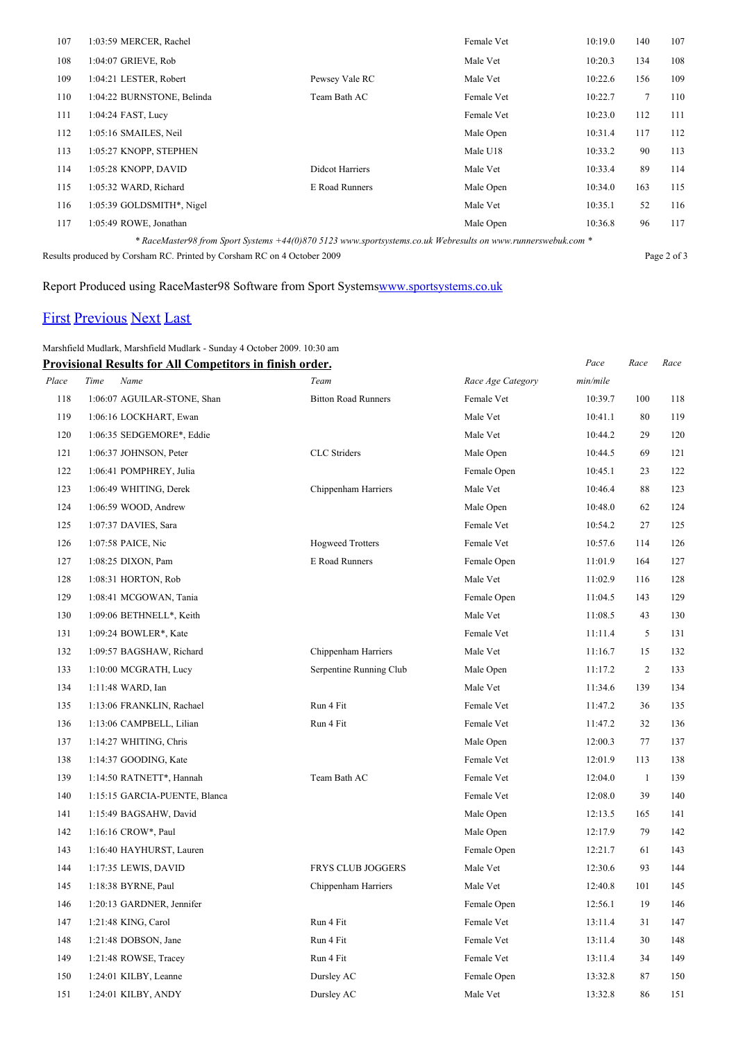| 107 | 1:03:59 MERCER, Rachel                                                                                       |                        | Female Vet | 10:19.0 | 140 | 107 |  |  |
|-----|--------------------------------------------------------------------------------------------------------------|------------------------|------------|---------|-----|-----|--|--|
| 108 | 1:04:07 GRIEVE, Rob                                                                                          |                        | Male Vet   | 10:20.3 | 134 | 108 |  |  |
| 109 | 1:04:21 LESTER, Robert                                                                                       | Pewsey Vale RC         | Male Vet   | 10:22.6 | 156 | 109 |  |  |
| 110 | 1:04:22 BURNSTONE, Belinda                                                                                   | Team Bath AC           | Female Vet | 10:22.7 | 7   | 110 |  |  |
| 111 | 1:04:24 FAST, Lucy                                                                                           |                        | Female Vet | 10:23.0 | 112 | 111 |  |  |
| 112 | 1:05:16 SMAILES, Neil                                                                                        |                        | Male Open  | 10:31.4 | 117 | 112 |  |  |
| 113 | 1:05:27 KNOPP, STEPHEN                                                                                       |                        | Male U18   | 10:33.2 | 90  | 113 |  |  |
| 114 | 1:05:28 KNOPP, DAVID                                                                                         | <b>Didcot Harriers</b> | Male Vet   | 10:33.4 | 89  | 114 |  |  |
| 115 | 1:05:32 WARD, Richard                                                                                        | E Road Runners         | Male Open  | 10:34.0 | 163 | 115 |  |  |
| 116 | 1:05:39 GOLDSMITH*, Nigel                                                                                    |                        | Male Vet   | 10:35.1 | 52  | 116 |  |  |
| 117 | 1:05:49 ROWE, Jonathan                                                                                       |                        | Male Open  | 10:36.8 | 96  | 117 |  |  |
|     | * RaceMaster98 from Sport Systems +44(0)870 5123 www.sportsystems.co.uk Webresults on www.runnerswebuk.com * |                        |            |         |     |     |  |  |

Results produced by Corsham RC. Printed by Corsham RC on 4 October 2009 Page 2 of 3

# Report Produced using RaceMaster98 Software from Sport System[swww.sportsystems.co.uk](http://www.sportsystems.co.uk/)

# [First](http://www.corshamrunningclub.co.uk/Mudlark/Results/2009/Marshfield Mudlark.html) [Previous](http://www.corshamrunningclub.co.uk/Mudlark/Results/2009/Marshfield MudlarkPage2.html) [Next](http://www.corshamrunningclub.co.uk/Mudlark/Results/2009/Marshfield MudlarkPage3.html#) [Last](http://www.corshamrunningclub.co.uk/Mudlark/Results/2009/Marshfield MudlarkPage3.html#)

## Marshfield Mudlark, Marshfield Mudlark - Sunday 4 October 2009. 10:30 am

|       | <b>Provisional Results for All Competitors in finish order.</b> |                            |                   | Pace     | Race           | Race |
|-------|-----------------------------------------------------------------|----------------------------|-------------------|----------|----------------|------|
| Place | Name<br>Time                                                    | Team                       | Race Age Category | min/mile |                |      |
| 118   | 1:06:07 AGUILAR-STONE, Shan                                     | <b>Bitton Road Runners</b> | Female Vet        | 10:39.7  | 100            | 118  |
| 119   | 1:06:16 LOCKHART, Ewan                                          |                            | Male Vet          | 10:41.1  | 80             | 119  |
| 120   | 1:06:35 SEDGEMORE*, Eddie                                       |                            | Male Vet          | 10:44.2  | 29             | 120  |
| 121   | 1:06:37 JOHNSON, Peter                                          | <b>CLC</b> Striders        | Male Open         | 10:44.5  | 69             | 121  |
| 122   | 1:06:41 POMPHREY, Julia                                         |                            | Female Open       | 10:45.1  | 23             | 122  |
| 123   | 1:06:49 WHITING, Derek                                          | Chippenham Harriers        | Male Vet          | 10:46.4  | 88             | 123  |
| 124   | 1:06:59 WOOD, Andrew                                            |                            | Male Open         | 10:48.0  | 62             | 124  |
| 125   | 1:07:37 DAVIES, Sara                                            |                            | Female Vet        | 10:54.2  | 27             | 125  |
| 126   | 1:07:58 PAICE, Nic                                              | <b>Hogweed Trotters</b>    | Female Vet        | 10:57.6  | 114            | 126  |
| 127   | 1:08:25 DIXON, Pam                                              | E Road Runners             | Female Open       | 11:01.9  | 164            | 127  |
| 128   | 1:08:31 HORTON, Rob                                             |                            | Male Vet          | 11:02.9  | 116            | 128  |
| 129   | 1:08:41 MCGOWAN, Tania                                          |                            | Female Open       | 11:04.5  | 143            | 129  |
| 130   | 1:09:06 BETHNELL*, Keith                                        |                            | Male Vet          | 11:08.5  | 43             | 130  |
| 131   | 1:09:24 BOWLER*, Kate                                           |                            | Female Vet        | 11:11.4  | 5              | 131  |
| 132   | 1:09:57 BAGSHAW, Richard                                        | Chippenham Harriers        | Male Vet          | 11:16.7  | 15             | 132  |
| 133   | 1:10:00 MCGRATH, Lucy                                           | Serpentine Running Club    | Male Open         | 11:17.2  | $\overline{2}$ | 133  |
| 134   | 1:11:48 WARD, Ian                                               |                            | Male Vet          | 11:34.6  | 139            | 134  |
| 135   | 1:13:06 FRANKLIN, Rachael                                       | Run 4 Fit                  | Female Vet        | 11:47.2  | 36             | 135  |
| 136   | 1:13:06 CAMPBELL, Lilian                                        | Run 4 Fit                  | Female Vet        | 11:47.2  | 32             | 136  |
| 137   | 1:14:27 WHITING, Chris                                          |                            | Male Open         | 12:00.3  | 77             | 137  |
| 138   | 1:14:37 GOODING, Kate                                           |                            | Female Vet        | 12:01.9  | 113            | 138  |
| 139   | 1:14:50 RATNETT*, Hannah                                        | Team Bath AC               | Female Vet        | 12:04.0  | $\mathbf{1}$   | 139  |
| 140   | 1:15:15 GARCIA-PUENTE, Blanca                                   |                            | Female Vet        | 12:08.0  | 39             | 140  |
| 141   | 1:15:49 BAGSAHW, David                                          |                            | Male Open         | 12:13.5  | 165            | 141  |
| 142   | 1:16:16 CROW*, Paul                                             |                            | Male Open         | 12:17.9  | 79             | 142  |
| 143   | 1:16:40 HAYHURST, Lauren                                        |                            | Female Open       | 12:21.7  | 61             | 143  |
| 144   | 1:17:35 LEWIS, DAVID                                            | FRYS CLUB JOGGERS          | Male Vet          | 12:30.6  | 93             | 144  |
| 145   | 1:18:38 BYRNE, Paul                                             | Chippenham Harriers        | Male Vet          | 12:40.8  | 101            | 145  |
| 146   | 1:20:13 GARDNER, Jennifer                                       |                            | Female Open       | 12:56.1  | 19             | 146  |
| 147   | 1:21:48 KING, Carol                                             | Run 4 Fit                  | Female Vet        | 13:11.4  | 31             | 147  |
| 148   | 1:21:48 DOBSON, Jane                                            | Run 4 Fit                  | Female Vet        | 13:11.4  | 30             | 148  |
| 149   | 1:21:48 ROWSE, Tracey                                           | Run 4 Fit                  | Female Vet        | 13:11.4  | 34             | 149  |
| 150   | 1:24:01 KILBY, Leanne                                           | Dursley AC                 | Female Open       | 13:32.8  | 87             | 150  |
| 151   | 1:24:01 KILBY, ANDY                                             | Dursley AC                 | Male Vet          | 13:32.8  | 86             | 151  |